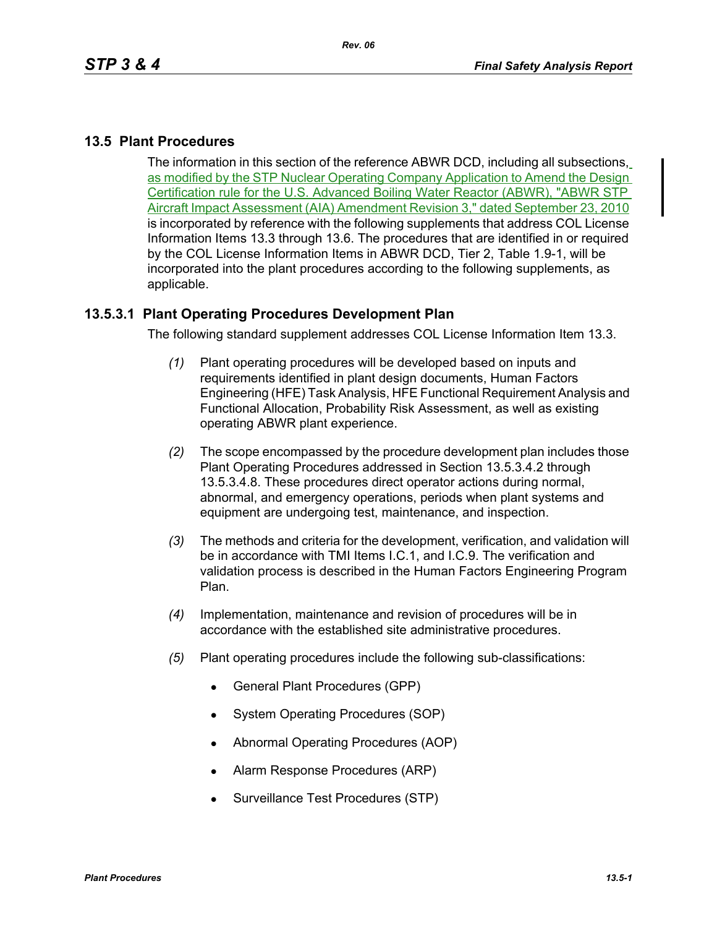# **13.5 Plant Procedures**

The information in this section of the reference ABWR DCD, including all subsections, as modified by the STP Nuclear Operating Company Application to Amend the Design Certification rule for the U.S. Advanced Boiling Water Reactor (ABWR), "ABWR STP Aircraft Impact Assessment (AIA) Amendment Revision 3," dated September 23, 2010 is incorporated by reference with the following supplements that address COL License Information Items 13.3 through 13.6. The procedures that are identified in or required by the COL License Information Items in ABWR DCD, Tier 2, Table 1.9-1, will be incorporated into the plant procedures according to the following supplements, as applicable.

## **13.5.3.1 Plant Operating Procedures Development Plan**

The following standard supplement addresses COL License Information Item 13.3.

- *(1)* Plant operating procedures will be developed based on inputs and requirements identified in plant design documents, Human Factors Engineering (HFE) Task Analysis, HFE Functional Requirement Analysis and Functional Allocation, Probability Risk Assessment, as well as existing operating ABWR plant experience.
- *(2)* The scope encompassed by the procedure development plan includes those Plant Operating Procedures addressed in Section 13.5.3.4.2 through 13.5.3.4.8. These procedures direct operator actions during normal, abnormal, and emergency operations, periods when plant systems and equipment are undergoing test, maintenance, and inspection.
- *(3)* The methods and criteria for the development, verification, and validation will be in accordance with TMI Items I.C.1, and I.C.9. The verification and validation process is described in the Human Factors Engineering Program Plan.
- *(4)* Implementation, maintenance and revision of procedures will be in accordance with the established site administrative procedures.
- *(5)* Plant operating procedures include the following sub-classifications:
	- General Plant Procedures (GPP)
	- System Operating Procedures (SOP)
	- Abnormal Operating Procedures (AOP)
	- Alarm Response Procedures (ARP)
	- Surveillance Test Procedures (STP)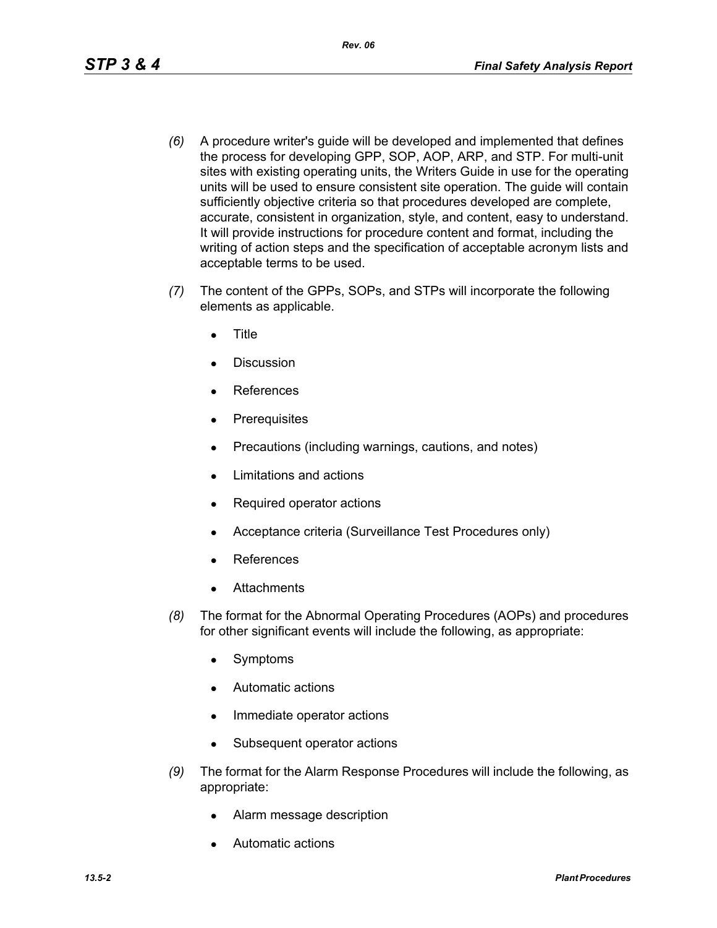- *(6)* A procedure writer's guide will be developed and implemented that defines the process for developing GPP, SOP, AOP, ARP, and STP. For multi-unit sites with existing operating units, the Writers Guide in use for the operating units will be used to ensure consistent site operation. The guide will contain sufficiently objective criteria so that procedures developed are complete, accurate, consistent in organization, style, and content, easy to understand. It will provide instructions for procedure content and format, including the writing of action steps and the specification of acceptable acronym lists and acceptable terms to be used.
- *(7)* The content of the GPPs, SOPs, and STPs will incorporate the following elements as applicable.
	- **Title**
	- Discussion
	- **References**
	- Prerequisites
	- Precautions (including warnings, cautions, and notes)
	- Limitations and actions
	- Required operator actions
	- Acceptance criteria (Surveillance Test Procedures only)
	- **References**
	- **Attachments**
- *(8)* The format for the Abnormal Operating Procedures (AOPs) and procedures for other significant events will include the following, as appropriate:
	- Symptoms
	- Automatic actions
	- Immediate operator actions
	- Subsequent operator actions
- *(9)* The format for the Alarm Response Procedures will include the following, as appropriate:
	- Alarm message description
	- Automatic actions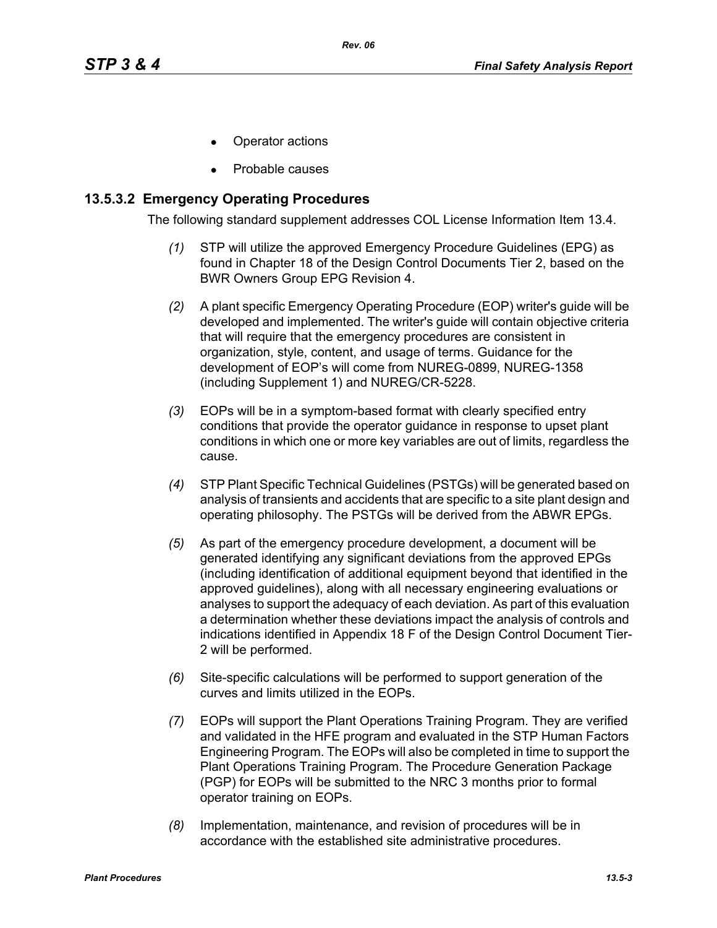- Operator actions
- Probable causes

## **13.5.3.2 Emergency Operating Procedures**

The following standard supplement addresses COL License Information Item 13.4.

- *(1)* STP will utilize the approved Emergency Procedure Guidelines (EPG) as found in Chapter 18 of the Design Control Documents Tier 2, based on the BWR Owners Group EPG Revision 4.
- *(2)* A plant specific Emergency Operating Procedure (EOP) writer's guide will be developed and implemented. The writer's guide will contain objective criteria that will require that the emergency procedures are consistent in organization, style, content, and usage of terms. Guidance for the development of EOP's will come from NUREG-0899, NUREG-1358 (including Supplement 1) and NUREG/CR-5228.
- *(3)* EOPs will be in a symptom-based format with clearly specified entry conditions that provide the operator guidance in response to upset plant conditions in which one or more key variables are out of limits, regardless the cause.
- *(4)* STP Plant Specific Technical Guidelines (PSTGs) will be generated based on analysis of transients and accidents that are specific to a site plant design and operating philosophy. The PSTGs will be derived from the ABWR EPGs.
- *(5)* As part of the emergency procedure development, a document will be generated identifying any significant deviations from the approved EPGs (including identification of additional equipment beyond that identified in the approved guidelines), along with all necessary engineering evaluations or analyses to support the adequacy of each deviation. As part of this evaluation a determination whether these deviations impact the analysis of controls and indications identified in Appendix 18 F of the Design Control Document Tier-2 will be performed.
- *(6)* Site-specific calculations will be performed to support generation of the curves and limits utilized in the EOPs.
- *(7)* EOPs will support the Plant Operations Training Program. They are verified and validated in the HFE program and evaluated in the STP Human Factors Engineering Program. The EOPs will also be completed in time to support the Plant Operations Training Program. The Procedure Generation Package (PGP) for EOPs will be submitted to the NRC 3 months prior to formal operator training on EOPs.
- *(8)* Implementation, maintenance, and revision of procedures will be in accordance with the established site administrative procedures.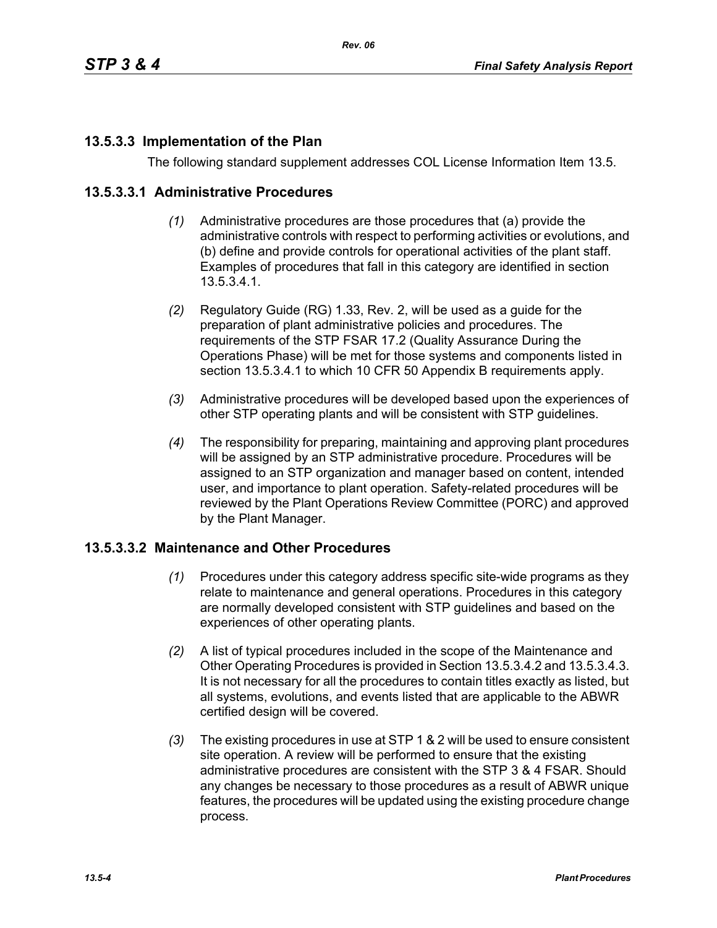# **13.5.3.3 Implementation of the Plan**

The following standard supplement addresses COL License Information Item 13.5.

*Rev. 06*

#### **13.5.3.3.1 Administrative Procedures**

- *(1)* Administrative procedures are those procedures that (a) provide the administrative controls with respect to performing activities or evolutions, and (b) define and provide controls for operational activities of the plant staff. Examples of procedures that fall in this category are identified in section 13.5.3.4.1.
- *(2)* Regulatory Guide (RG) 1.33, Rev. 2, will be used as a guide for the preparation of plant administrative policies and procedures. The requirements of the STP FSAR 17.2 (Quality Assurance During the Operations Phase) will be met for those systems and components listed in section 13.5.3.4.1 to which 10 CFR 50 Appendix B requirements apply.
- *(3)* Administrative procedures will be developed based upon the experiences of other STP operating plants and will be consistent with STP guidelines.
- *(4)* The responsibility for preparing, maintaining and approving plant procedures will be assigned by an STP administrative procedure. Procedures will be assigned to an STP organization and manager based on content, intended user, and importance to plant operation. Safety-related procedures will be reviewed by the Plant Operations Review Committee (PORC) and approved by the Plant Manager.

#### **13.5.3.3.2 Maintenance and Other Procedures**

- *(1)* Procedures under this category address specific site-wide programs as they relate to maintenance and general operations. Procedures in this category are normally developed consistent with STP guidelines and based on the experiences of other operating plants.
- *(2)* A list of typical procedures included in the scope of the Maintenance and Other Operating Procedures is provided in Section 13.5.3.4.2 and 13.5.3.4.3. It is not necessary for all the procedures to contain titles exactly as listed, but all systems, evolutions, and events listed that are applicable to the ABWR certified design will be covered.
- *(3)* The existing procedures in use at STP 1 & 2 will be used to ensure consistent site operation. A review will be performed to ensure that the existing administrative procedures are consistent with the STP 3 & 4 FSAR. Should any changes be necessary to those procedures as a result of ABWR unique features, the procedures will be updated using the existing procedure change process.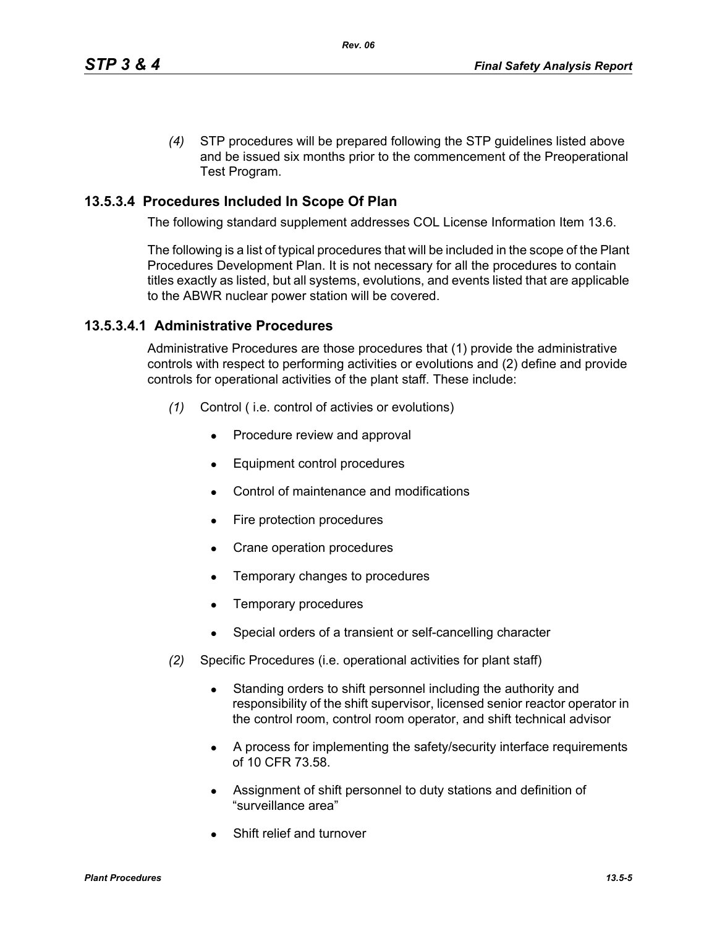*(4)* STP procedures will be prepared following the STP guidelines listed above and be issued six months prior to the commencement of the Preoperational Test Program.

# **13.5.3.4 Procedures Included In Scope Of Plan**

The following standard supplement addresses COL License Information Item 13.6.

The following is a list of typical procedures that will be included in the scope of the Plant Procedures Development Plan. It is not necessary for all the procedures to contain titles exactly as listed, but all systems, evolutions, and events listed that are applicable to the ABWR nuclear power station will be covered.

## **13.5.3.4.1 Administrative Procedures**

Administrative Procedures are those procedures that (1) provide the administrative controls with respect to performing activities or evolutions and (2) define and provide controls for operational activities of the plant staff. These include:

- *(1)* Control ( i.e. control of activies or evolutions)
	- Procedure review and approval
	- Equipment control procedures
	- Control of maintenance and modifications
	- $\bullet$  Fire protection procedures
	- Crane operation procedures
	- Temporary changes to procedures
	- Temporary procedures
	- Special orders of a transient or self-cancelling character
- *(2)* Specific Procedures (i.e. operational activities for plant staff)
	- Standing orders to shift personnel including the authority and responsibility of the shift supervisor, licensed senior reactor operator in the control room, control room operator, and shift technical advisor
	- A process for implementing the safety/security interface requirements of 10 CFR 73.58.
	- Assignment of shift personnel to duty stations and definition of "surveillance area"
	- Shift relief and turnover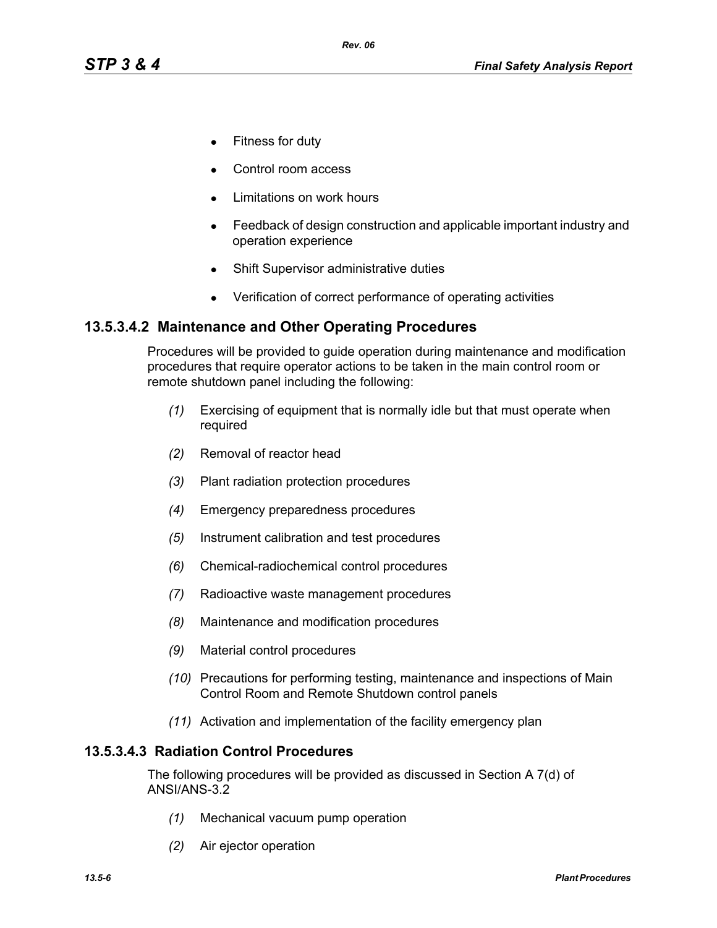- Fitness for duty
- Control room access
- Limitations on work hours
- Feedback of design construction and applicable important industry and operation experience
- Shift Supervisor administrative duties
- Verification of correct performance of operating activities

# **13.5.3.4.2 Maintenance and Other Operating Procedures**

Procedures will be provided to guide operation during maintenance and modification procedures that require operator actions to be taken in the main control room or remote shutdown panel including the following:

- *(1)* Exercising of equipment that is normally idle but that must operate when required
- *(2)* Removal of reactor head
- *(3)* Plant radiation protection procedures
- *(4)* Emergency preparedness procedures
- *(5)* Instrument calibration and test procedures
- *(6)* Chemical-radiochemical control procedures
- *(7)* Radioactive waste management procedures
- *(8)* Maintenance and modification procedures
- *(9)* Material control procedures
- *(10)* Precautions for performing testing, maintenance and inspections of Main Control Room and Remote Shutdown control panels
- *(11)* Activation and implementation of the facility emergency plan

#### **13.5.3.4.3 Radiation Control Procedures**

The following procedures will be provided as discussed in Section A 7(d) of ANSI/ANS-3.2

- *(1)* Mechanical vacuum pump operation
- *(2)* Air ejector operation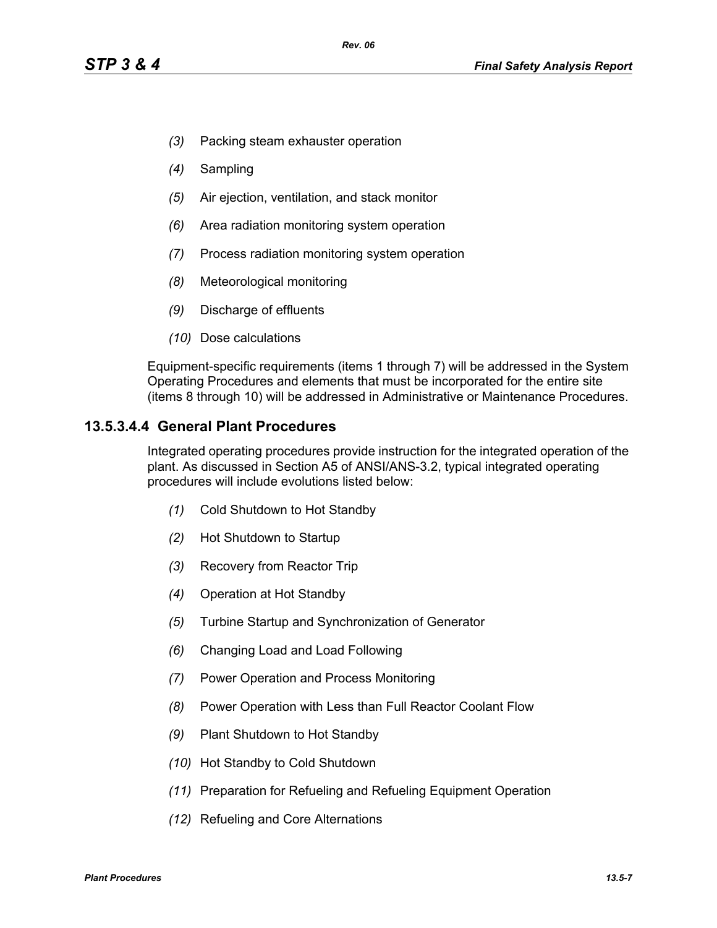- *(3)* Packing steam exhauster operation
- *(4)* Sampling
- *(5)* Air ejection, ventilation, and stack monitor
- *(6)* Area radiation monitoring system operation
- *(7)* Process radiation monitoring system operation
- *(8)* Meteorological monitoring
- *(9)* Discharge of effluents
- *(10)* Dose calculations

Equipment-specific requirements (items 1 through 7) will be addressed in the System Operating Procedures and elements that must be incorporated for the entire site (items 8 through 10) will be addressed in Administrative or Maintenance Procedures.

## **13.5.3.4.4 General Plant Procedures**

Integrated operating procedures provide instruction for the integrated operation of the plant. As discussed in Section A5 of ANSI/ANS-3.2, typical integrated operating procedures will include evolutions listed below:

- *(1)* Cold Shutdown to Hot Standby
- *(2)* Hot Shutdown to Startup
- *(3)* Recovery from Reactor Trip
- *(4)* Operation at Hot Standby
- *(5)* Turbine Startup and Synchronization of Generator
- *(6)* Changing Load and Load Following
- *(7)* Power Operation and Process Monitoring
- *(8)* Power Operation with Less than Full Reactor Coolant Flow
- *(9)* Plant Shutdown to Hot Standby
- *(10)* Hot Standby to Cold Shutdown
- *(11)* Preparation for Refueling and Refueling Equipment Operation
- *(12)* Refueling and Core Alternations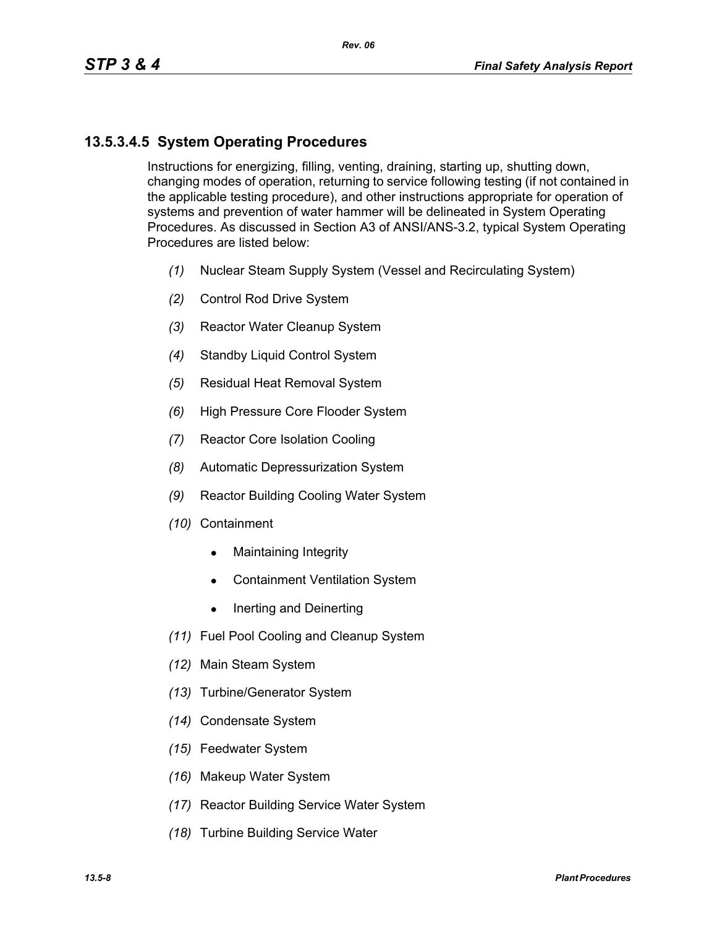# **13.5.3.4.5 System Operating Procedures**

Instructions for energizing, filling, venting, draining, starting up, shutting down, changing modes of operation, returning to service following testing (if not contained in the applicable testing procedure), and other instructions appropriate for operation of systems and prevention of water hammer will be delineated in System Operating Procedures. As discussed in Section A3 of ANSI/ANS-3.2, typical System Operating Procedures are listed below:

- *(1)* Nuclear Steam Supply System (Vessel and Recirculating System)
- *(2)* Control Rod Drive System
- *(3)* Reactor Water Cleanup System
- *(4)* Standby Liquid Control System
- *(5)* Residual Heat Removal System
- *(6)* High Pressure Core Flooder System
- *(7)* Reactor Core Isolation Cooling
- *(8)* Automatic Depressurization System
- *(9)* Reactor Building Cooling Water System
- *(10)* Containment
	- $\bullet$  Maintaining Integrity
	- Containment Ventilation System
	- $\bullet$  Inerting and Deinerting
- *(11)* Fuel Pool Cooling and Cleanup System
- *(12)* Main Steam System
- *(13)* Turbine/Generator System
- *(14)* Condensate System
- *(15)* Feedwater System
- *(16)* Makeup Water System
- *(17)* Reactor Building Service Water System
- *(18)* Turbine Building Service Water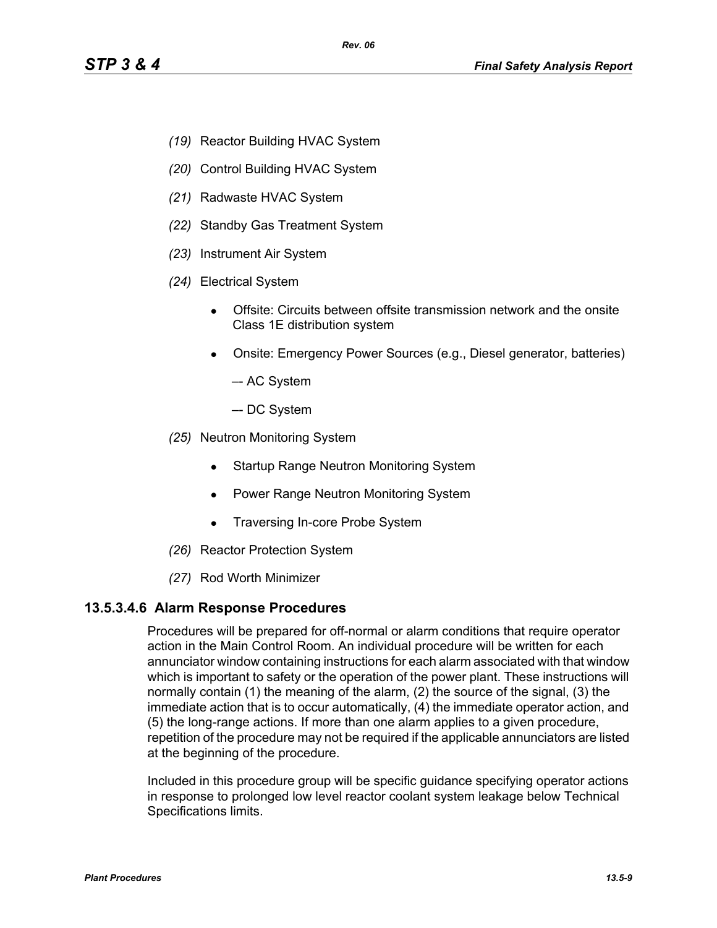- *(19)* Reactor Building HVAC System
- *(20)* Control Building HVAC System
- *(21)* Radwaste HVAC System
- *(22)* Standby Gas Treatment System
- *(23)* Instrument Air System
- *(24)* Electrical System
	- Offsite: Circuits between offsite transmission network and the onsite Class 1E distribution system
	- Onsite: Emergency Power Sources (e.g., Diesel generator, batteries)
		- –- AC System
		- –- DC System
- *(25)* Neutron Monitoring System
	- Startup Range Neutron Monitoring System
	- Power Range Neutron Monitoring System
	- Traversing In-core Probe System
- *(26)* Reactor Protection System
- *(27)* Rod Worth Minimizer

#### **13.5.3.4.6 Alarm Response Procedures**

Procedures will be prepared for off-normal or alarm conditions that require operator action in the Main Control Room. An individual procedure will be written for each annunciator window containing instructions for each alarm associated with that window which is important to safety or the operation of the power plant. These instructions will normally contain (1) the meaning of the alarm, (2) the source of the signal, (3) the immediate action that is to occur automatically, (4) the immediate operator action, and (5) the long-range actions. If more than one alarm applies to a given procedure, repetition of the procedure may not be required if the applicable annunciators are listed at the beginning of the procedure.

Included in this procedure group will be specific guidance specifying operator actions in response to prolonged low level reactor coolant system leakage below Technical Specifications limits.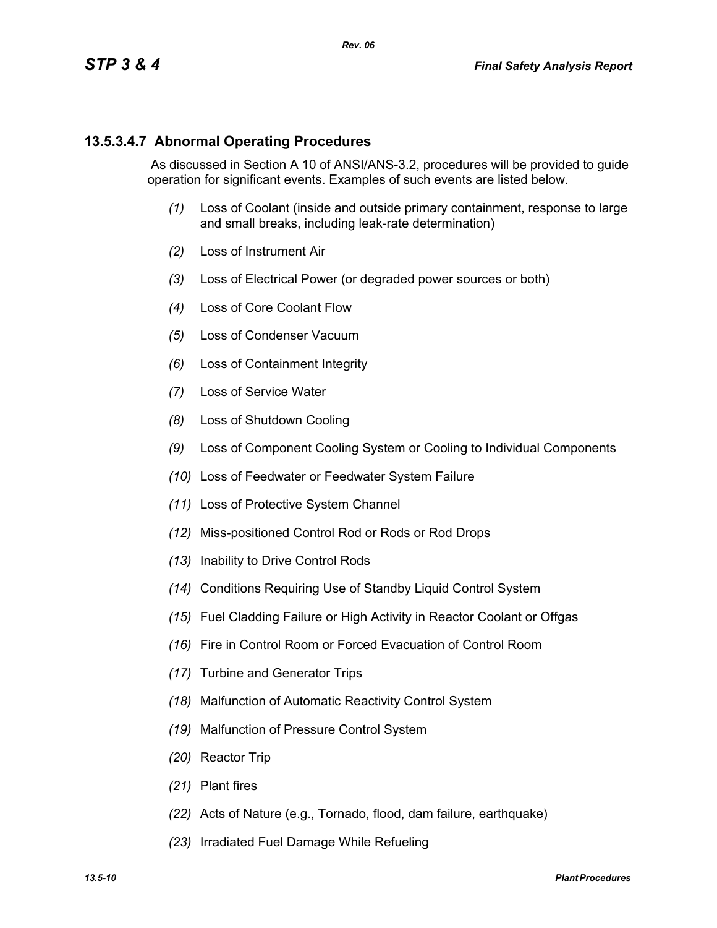## **13.5.3.4.7 Abnormal Operating Procedures**

 As discussed in Section A 10 of ANSI/ANS-3.2, procedures will be provided to guide operation for significant events. Examples of such events are listed below.

- *(1)* Loss of Coolant (inside and outside primary containment, response to large and small breaks, including leak-rate determination)
- *(2)* Loss of Instrument Air
- *(3)* Loss of Electrical Power (or degraded power sources or both)
- *(4)* Loss of Core Coolant Flow
- *(5)* Loss of Condenser Vacuum
- *(6)* Loss of Containment Integrity
- *(7)* Loss of Service Water
- *(8)* Loss of Shutdown Cooling
- *(9)* Loss of Component Cooling System or Cooling to Individual Components
- *(10)* Loss of Feedwater or Feedwater System Failure
- *(11)* Loss of Protective System Channel
- *(12)* Miss-positioned Control Rod or Rods or Rod Drops
- *(13)* Inability to Drive Control Rods
- *(14)* Conditions Requiring Use of Standby Liquid Control System
- *(15)* Fuel Cladding Failure or High Activity in Reactor Coolant or Offgas
- *(16)* Fire in Control Room or Forced Evacuation of Control Room
- *(17)* Turbine and Generator Trips
- *(18)* Malfunction of Automatic Reactivity Control System
- *(19)* Malfunction of Pressure Control System
- *(20)* Reactor Trip
- *(21)* Plant fires
- *(22)* Acts of Nature (e.g., Tornado, flood, dam failure, earthquake)
- *(23)* Irradiated Fuel Damage While Refueling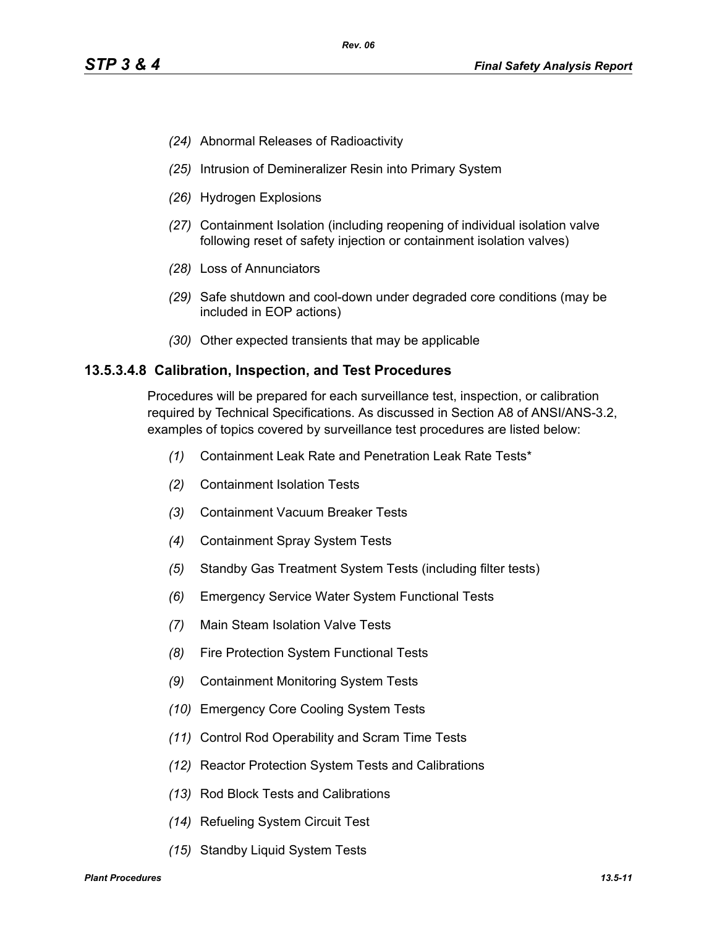- *(24)* Abnormal Releases of Radioactivity
- *(25)* Intrusion of Demineralizer Resin into Primary System
- *(26)* Hydrogen Explosions
- *(27)* Containment Isolation (including reopening of individual isolation valve following reset of safety injection or containment isolation valves)
- *(28)* Loss of Annunciators
- *(29)* Safe shutdown and cool-down under degraded core conditions (may be included in EOP actions)
- *(30)* Other expected transients that may be applicable

#### **13.5.3.4.8 Calibration, Inspection, and Test Procedures**

Procedures will be prepared for each surveillance test, inspection, or calibration required by Technical Specifications. As discussed in Section A8 of ANSI/ANS-3.2, examples of topics covered by surveillance test procedures are listed below:

- *(1)* Containment Leak Rate and Penetration Leak Rate Tests\*
- *(2)* Containment Isolation Tests
- *(3)* Containment Vacuum Breaker Tests
- *(4)* Containment Spray System Tests
- *(5)* Standby Gas Treatment System Tests (including filter tests)
- *(6)* Emergency Service Water System Functional Tests
- *(7)* Main Steam Isolation Valve Tests
- *(8)* Fire Protection System Functional Tests
- *(9)* Containment Monitoring System Tests
- *(10)* Emergency Core Cooling System Tests
- *(11)* Control Rod Operability and Scram Time Tests
- *(12)* Reactor Protection System Tests and Calibrations
- *(13)* Rod Block Tests and Calibrations
- *(14)* Refueling System Circuit Test
- *(15)* Standby Liquid System Tests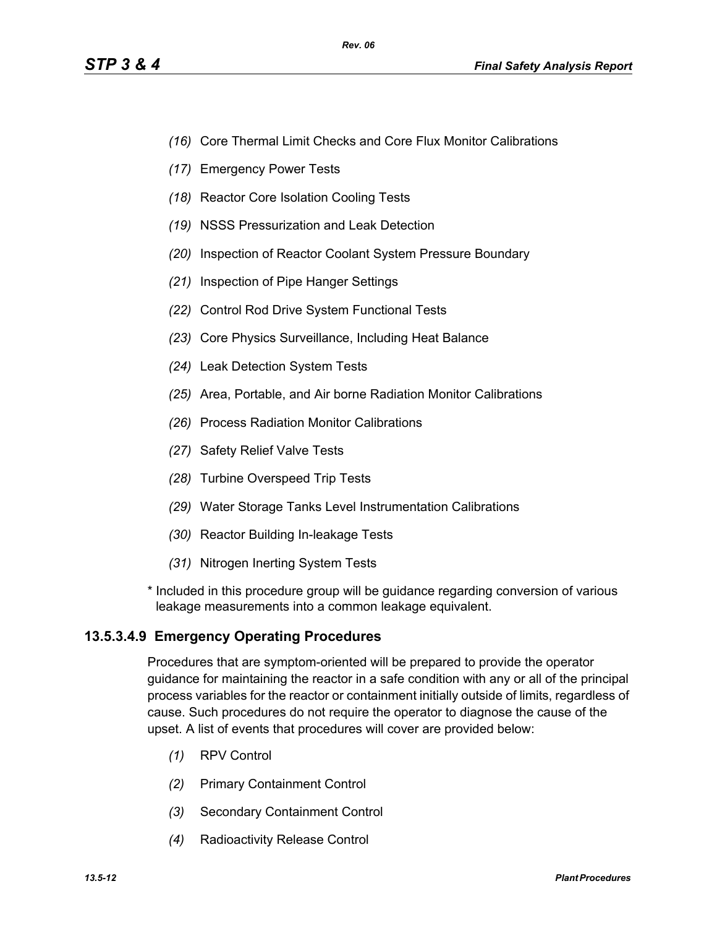- *(16)* Core Thermal Limit Checks and Core Flux Monitor Calibrations
- *(17)* Emergency Power Tests
- *(18)* Reactor Core Isolation Cooling Tests
- *(19)* NSSS Pressurization and Leak Detection
- *(20)* Inspection of Reactor Coolant System Pressure Boundary
- *(21)* Inspection of Pipe Hanger Settings
- *(22)* Control Rod Drive System Functional Tests
- *(23)* Core Physics Surveillance, Including Heat Balance
- *(24)* Leak Detection System Tests
- *(25)* Area, Portable, and Air borne Radiation Monitor Calibrations
- *(26)* Process Radiation Monitor Calibrations
- *(27)* Safety Relief Valve Tests
- *(28)* Turbine Overspeed Trip Tests
- *(29)* Water Storage Tanks Level Instrumentation Calibrations
- *(30)* Reactor Building In-leakage Tests
- *(31)* Nitrogen Inerting System Tests
- \* Included in this procedure group will be guidance regarding conversion of various leakage measurements into a common leakage equivalent.

# **13.5.3.4.9 Emergency Operating Procedures**

Procedures that are symptom-oriented will be prepared to provide the operator guidance for maintaining the reactor in a safe condition with any or all of the principal process variables for the reactor or containment initially outside of limits, regardless of cause. Such procedures do not require the operator to diagnose the cause of the upset. A list of events that procedures will cover are provided below:

- *(1)* RPV Control
- *(2)* Primary Containment Control
- *(3)* Secondary Containment Control
- *(4)* Radioactivity Release Control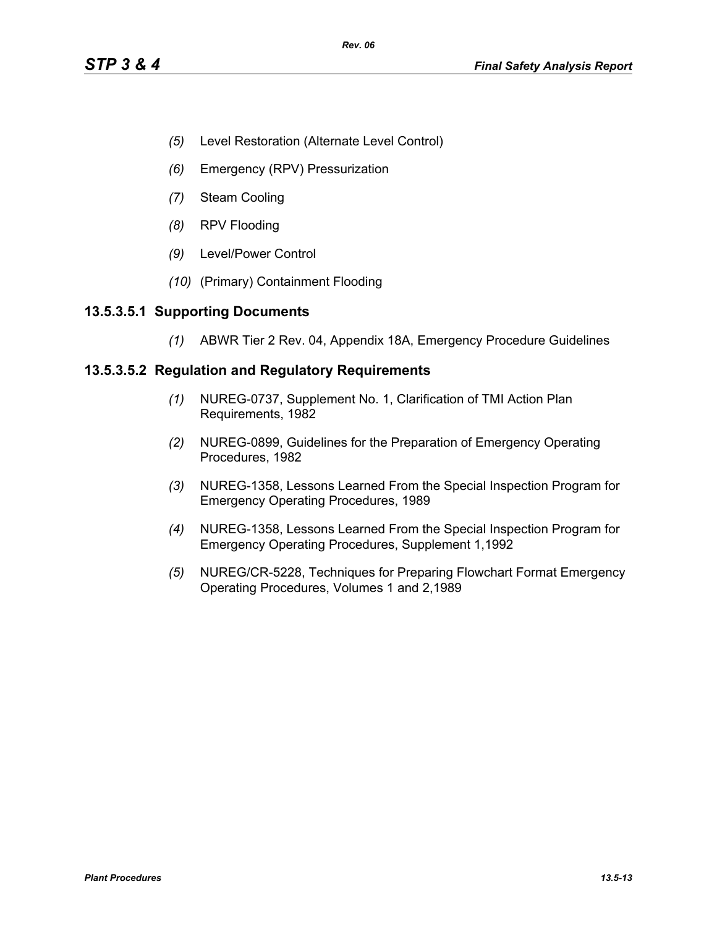- *(5)* Level Restoration (Alternate Level Control)
- *(6)* Emergency (RPV) Pressurization
- *(7)* Steam Cooling
- *(8)* RPV Flooding
- *(9)* Level/Power Control
- *(10)* (Primary) Containment Flooding

## **13.5.3.5.1 Supporting Documents**

*(1)* ABWR Tier 2 Rev. 04, Appendix 18A, Emergency Procedure Guidelines

## **13.5.3.5.2 Regulation and Regulatory Requirements**

- *(1)* NUREG-0737, Supplement No. 1, Clarification of TMI Action Plan Requirements, 1982
- *(2)* NUREG-0899, Guidelines for the Preparation of Emergency Operating Procedures, 1982
- *(3)* NUREG-1358, Lessons Learned From the Special Inspection Program for Emergency Operating Procedures, 1989
- *(4)* NUREG-1358, Lessons Learned From the Special Inspection Program for Emergency Operating Procedures, Supplement 1,1992
- *(5)* NUREG/CR-5228, Techniques for Preparing Flowchart Format Emergency Operating Procedures, Volumes 1 and 2,1989